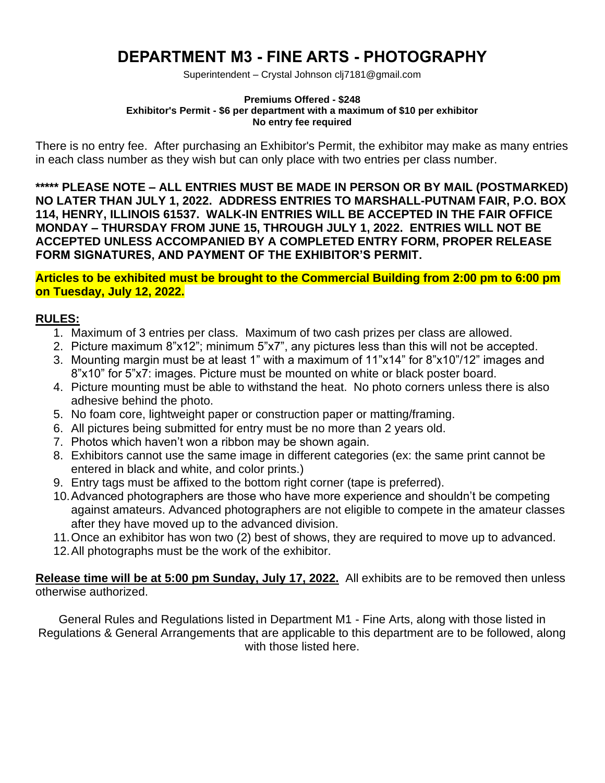# **DEPARTMENT M3 - FINE ARTS - PHOTOGRAPHY**

Superintendent – Crystal Johnson clj7181@gmail.com

#### **Premiums Offered - \$248 Exhibitor's Permit - \$6 per department with a maximum of \$10 per exhibitor No entry fee required**

There is no entry fee. After purchasing an Exhibitor's Permit, the exhibitor may make as many entries in each class number as they wish but can only place with two entries per class number.

**\*\*\*\*\* PLEASE NOTE – ALL ENTRIES MUST BE MADE IN PERSON OR BY MAIL (POSTMARKED) NO LATER THAN JULY 1, 2022. ADDRESS ENTRIES TO MARSHALL-PUTNAM FAIR, P.O. BOX 114, HENRY, ILLINOIS 61537. WALK-IN ENTRIES WILL BE ACCEPTED IN THE FAIR OFFICE MONDAY – THURSDAY FROM JUNE 15, THROUGH JULY 1, 2022. ENTRIES WILL NOT BE ACCEPTED UNLESS ACCOMPANIED BY A COMPLETED ENTRY FORM, PROPER RELEASE FORM SIGNATURES, AND PAYMENT OF THE EXHIBITOR'S PERMIT.**

**Articles to be exhibited must be brought to the Commercial Building from 2:00 pm to 6:00 pm on Tuesday, July 12, 2022.**

#### **RULES:**

- 1. Maximum of 3 entries per class. Maximum of two cash prizes per class are allowed.
- 2. Picture maximum 8"x12"; minimum 5"x7", any pictures less than this will not be accepted.
- 3. Mounting margin must be at least 1" with a maximum of 11"x14" for 8"x10"/12" images and 8"x10" for 5"x7: images. Picture must be mounted on white or black poster board.
- 4. Picture mounting must be able to withstand the heat. No photo corners unless there is also adhesive behind the photo.
- 5. No foam core, lightweight paper or construction paper or matting/framing.
- 6. All pictures being submitted for entry must be no more than 2 years old.
- 7. Photos which haven't won a ribbon may be shown again.
- 8. Exhibitors cannot use the same image in different categories (ex: the same print cannot be entered in black and white, and color prints.)
- 9. Entry tags must be affixed to the bottom right corner (tape is preferred).
- 10.Advanced photographers are those who have more experience and shouldn't be competing against amateurs. Advanced photographers are not eligible to compete in the amateur classes after they have moved up to the advanced division.
- 11.Once an exhibitor has won two (2) best of shows, they are required to move up to advanced.
- 12.All photographs must be the work of the exhibitor.

**Release time will be at 5:00 pm Sunday, July 17, 2022.** All exhibits are to be removed then unless otherwise authorized.

General Rules and Regulations listed in Department M1 - Fine Arts, along with those listed in Regulations & General Arrangements that are applicable to this department are to be followed, along with those listed here.